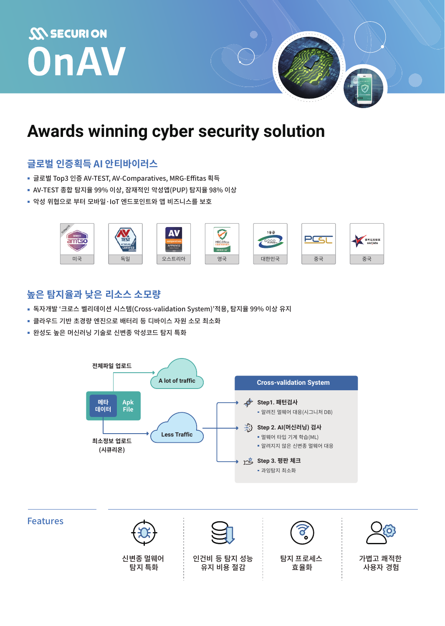# **SON SECURION** OnAV

## Awards winning cyber security solution

### 글로벌 인증획득 AI 안티바이러스

- 글로벌 Top3 인증 AV-TEST, AV-Comparatives, MRG-Effitas 획득
- AV-TEST 종합 탐지율 99% 이상, 잠재적인 악성앱(PUP) 탐지율 98% 이상
- 악성 위협으로 부터 모바일·loT 엔드포인트와 앱 비즈니스를 보호



#### 높은 탐지율과 낮은 리소스 소모량

- 독자개발 '크로스 벨리데이션 시스템(Cross-validation System)'적용, 탐지율 99% 이상 유지
- 클라우드 기반 초경량 엔진으로 배터리 등 디바이스 자원 소모 최소화
- 완성도 높은 머신러닝 기술로 신변종 악성코드 탐지 특화